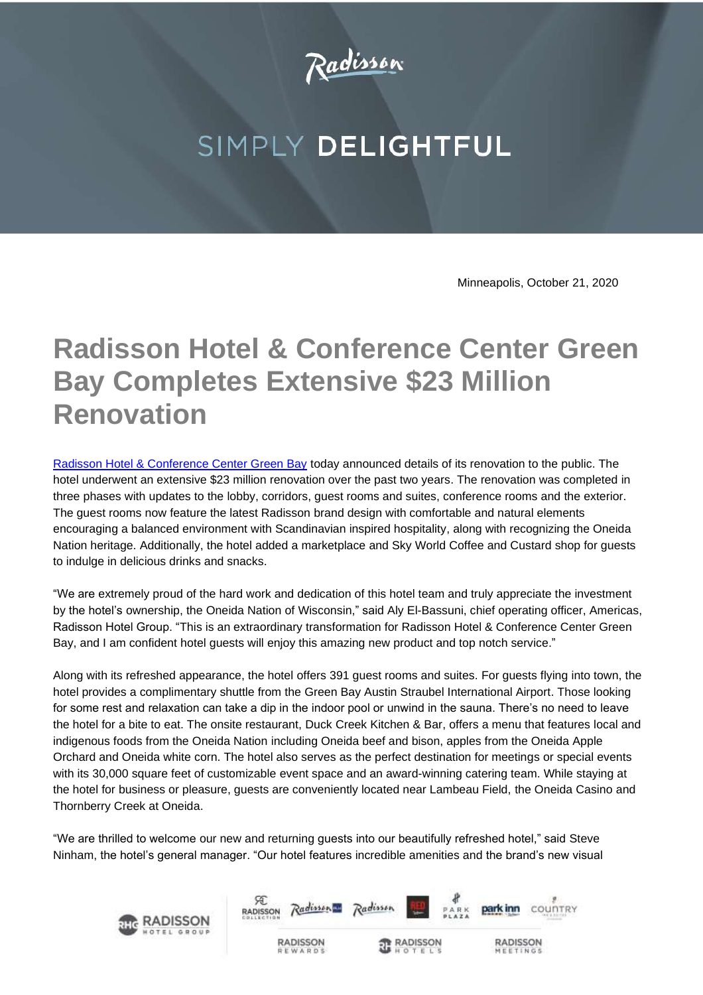

## SIMPLY DELIGHTFUL

Minneapolis, October 21, 2020

## **Radisson Hotel & Conference Center Green Bay Completes Extensive \$23 Million Renovation**

[Radisson Hotel & Conference Center Green Bay](https://www.radissonhotels.com/en-us/hotels/radisson-conference-green-bay?cid=a:se+b:gmb+c:amer+i:local+e:rad+d:us+h:GREENBAY) today announced details of its renovation to the public. The hotel underwent an extensive \$23 million renovation over the past two years. The renovation was completed in three phases with updates to the lobby, corridors, guest rooms and suites, conference rooms and the exterior. The guest rooms now feature the latest Radisson brand design with comfortable and natural elements encouraging a balanced environment with Scandinavian inspired hospitality, along with recognizing the Oneida Nation heritage. Additionally, the hotel added a marketplace and Sky World Coffee and Custard shop for guests to indulge in delicious drinks and snacks.

"We are extremely proud of the hard work and dedication of this hotel team and truly appreciate the investment by the hotel's ownership, the Oneida Nation of Wisconsin," said Aly El-Bassuni, chief operating officer, Americas, Radisson Hotel Group. "This is an extraordinary transformation for Radisson Hotel & Conference Center Green Bay, and I am confident hotel guests will enjoy this amazing new product and top notch service."

Along with its refreshed appearance, the hotel offers 391 guest rooms and suites. For guests flying into town, the hotel provides a complimentary shuttle from the Green Bay Austin Straubel International Airport. Those looking for some rest and relaxation can take a dip in the indoor pool or unwind in the sauna. There's no need to leave the hotel for a bite to eat. The onsite restaurant, Duck Creek Kitchen & Bar, offers a menu that features local and indigenous foods from the Oneida Nation including Oneida beef and bison, apples from the Oneida Apple Orchard and Oneida white corn. The hotel also serves as the perfect destination for meetings or special events with its 30,000 square feet of customizable event space and an award-winning catering team. While staying at the hotel for business or pleasure, guests are conveniently located near Lambeau Field, the Oneida Casino and Thornberry Creek at Oneida.

"We are thrilled to welcome our new and returning guests into our beautifully refreshed hotel," said Steve Ninham, the hotel's general manager. "Our hotel features incredible amenities and the brand's new visual